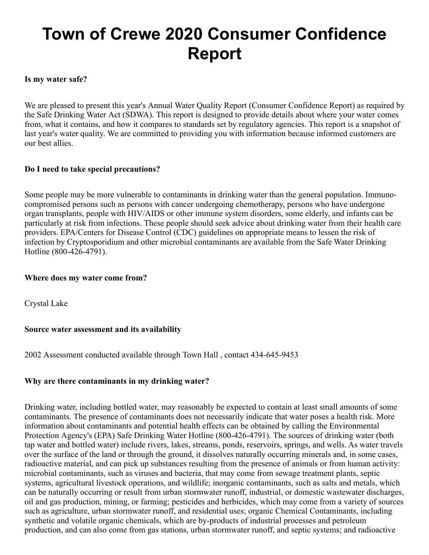# **Town of Crewe 2020 Consumer Confidence Report**

#### **Is my water safe?**

We are pleased to present this year's Annual Water Quality Report (Consumer Confidence Report) as required by the Safe Drinking Water Act (SDWA). This report is designed to provide details about where your water comes from, what it contains, and how it compares to standards set by regulatory agencies. This report is a snapshot of last year's water quality. We are committed to providing you with information because informed customers are our best allies.

#### **Do I need to take special precautions?**

Some people may be more vulnerable to contaminants in drinking water than the general population. Immunocompromised persons such as persons with cancer undergoing chemotherapy, persons who have undergone organ transplants, people with HIV/AIDS or other immune system disorders, some elderly, and infants can be particularly at risk from infections. These people should seek advice about drinking water from their health care providers. EPA/Centers for Disease Control (CDC) guidelines on appropriate means to lessen the risk of infection by Cryptosporidium and other microbial contaminants are available from the Safe Water Drinking Hotline (800-426-4791).

#### **Where does my water come from?**

Crystal Lake

#### **Source water assessment and its availability**

2002 Assessment conducted available through Town Hall , contact 434-645-9453

#### **Why are there contaminants in my drinking water?**

Drinking water, including bottled water, may reasonably be expected to contain at least small amounts of some contaminants. The presence of contaminants does not necessarily indicate that water poses a health risk. More information about contaminants and potential health effects can be obtained by calling the Environmental Protection Agency's (EPA) Safe Drinking Water Hotline (800-426-4791). The sources of drinking water (both tap water and bottled water) include rivers, lakes, streams, ponds, reservoirs, springs, and wells. As water travels over the surface of the land or through the ground, it dissolves naturally occurring minerals and, in some cases, radioactive material, and can pick up substances resulting from the presence of animals or from human activity: microbial contaminants, such as viruses and bacteria, that may come from sewage treatment plants, septic systems, agricultural livestock operations, and wildlife; inorganic contaminants, such as salts and metals, which can be naturally occurring or result from urban stormwater runoff, industrial, or domestic wastewater discharges, oil and gas production, mining, or farming; pesticides and herbicides, which may come from a variety of sources such as agriculture, urban stormwater runoff, and residential uses; organic Chemical Contaminants, including synthetic and volatile organic chemicals, which are by-products of industrial processes and petroleum production, and can also come from gas stations, urban stormwater runoff, and septic systems; and radioactive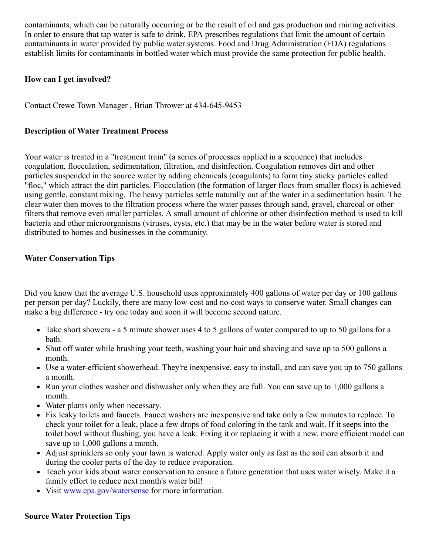contaminants, which can be naturally occurring or be the result of oil and gas production and mining activities. In order to ensure that tap water is safe to drink, EPA prescribes regulations that limit the amount of certain contaminants in water provided by public water systems. Food and Drug Administration (FDA) regulations establish limits for contaminants in bottled water which must provide the same protection for public health.

#### **How can I get involved?**

Contact Crewe Town Manager , Brian Thrower at 434-645-9453

#### **Description of Water Treatment Process**

Your water is treated in a "treatment train" (a series of processes applied in a sequence) that includes coagulation, flocculation, sedimentation, filtration, and disinfection. Coagulation removes dirt and other particles suspended in the source water by adding chemicals (coagulants) to form tiny sticky particles called "floc," which attract the dirt particles. Flocculation (the formation of larger flocs from smaller flocs) is achieved using gentle, constant mixing. The heavy particles settle naturally out of the water in a sedimentation basin. The clear water then moves to the filtration process where the water passes through sand, gravel, charcoal or other filters that remove even smaller particles. A small amount of chlorine or other disinfection method is used to kill bacteria and other microorganisms (viruses, cysts, etc.) that may be in the water before water is stored and distributed to homes and businesses in the community.

#### **Water Conservation Tips**

Did you know that the average U.S. household uses approximately 400 gallons of water per day or 100 gallons per person per day? Luckily, there are many low-cost and no-cost ways to conserve water. Small changes can make a big difference - try one today and soon it will become second nature.

- Take short showers a 5 minute shower uses 4 to 5 gallons of water compared to up to 50 gallons for a bath.
- Shut off water while brushing your teeth, washing your hair and shaving and save up to 500 gallons a month.
- Use a water-efficient showerhead. They're inexpensive, easy to install, and can save you up to 750 gallons a month.
- Run your clothes washer and dishwasher only when they are full. You can save up to 1,000 gallons a month.
- Water plants only when necessary.
- Fix leaky toilets and faucets. Faucet washers are inexpensive and take only a few minutes to replace. To check your toilet for a leak, place a few drops of food coloring in the tank and wait. If it seeps into the toilet bowl without flushing, you have a leak. Fixing it or replacing it with a new, more efficient model can save up to 1,000 gallons a month.
- Adjust sprinklers so only your lawn is watered. Apply water only as fast as the soil can absorb it and during the cooler parts of the day to reduce evaporation.
- Teach your kids about water conservation to ensure a future generation that uses water wisely. Make it a family effort to reduce next month's water bill!
- Visit [www.epa.gov/watersense](http://www.epa.gov/watersense) for more information.

#### **Source Water Protection Tips**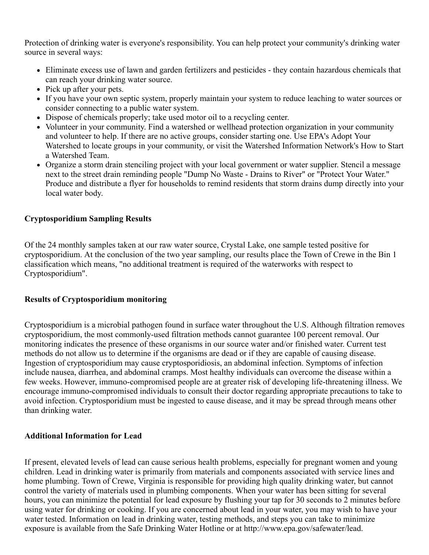Protection of drinking water is everyone's responsibility. You can help protect your community's drinking water source in several ways:

- Eliminate excess use of lawn and garden fertilizers and pesticides they contain hazardous chemicals that can reach your drinking water source.
- Pick up after your pets.
- If you have your own septic system, properly maintain your system to reduce leaching to water sources or consider connecting to a public water system.
- Dispose of chemicals properly; take used motor oil to a recycling center.
- Volunteer in your community. Find a watershed or wellhead protection organization in your community and volunteer to help. If there are no active groups, consider starting one. Use EPA's Adopt Your Watershed to locate groups in your community, or visit the Watershed Information Network's How to Start a Watershed Team.
- Organize a storm drain stenciling project with your local government or water supplier. Stencil a message next to the street drain reminding people "Dump No Waste - Drains to River" or "Protect Your Water." Produce and distribute a flyer for households to remind residents that storm drains dump directly into your local water body.

#### **Cryptosporidium Sampling Results**

Of the 24 monthly samples taken at our raw water source, Crystal Lake, one sample tested positive for cryptosporidium. At the conclusion of the two year sampling, our results place the Town of Crewe in the Bin 1 classification which means, "no additional treatment is required of the waterworks with respect to Cryptosporidium".

#### **Results of Cryptosporidium monitoring**

Cryptosporidium is a microbial pathogen found in surface water throughout the U.S. Although filtration removes cryptosporidium, the most commonly-used filtration methods cannot guarantee 100 percent removal. Our monitoring indicates the presence of these organisms in our source water and/or finished water. Current test methods do not allow us to determine if the organisms are dead or if they are capable of causing disease. Ingestion of cryptosporidium may cause cryptosporidiosis, an abdominal infection. Symptoms of infection include nausea, diarrhea, and abdominal cramps. Most healthy individuals can overcome the disease within a few weeks. However, immuno-compromised people are at greater risk of developing life-threatening illness. We encourage immuno-compromised individuals to consult their doctor regarding appropriate precautions to take to avoid infection. Cryptosporidium must be ingested to cause disease, and it may be spread through means other than drinking water.

#### **Additional Information for Lead**

If present, elevated levels of lead can cause serious health problems, especially for pregnant women and young children. Lead in drinking water is primarily from materials and components associated with service lines and home plumbing. Town of Crewe, Virginia is responsible for providing high quality drinking water, but cannot control the variety of materials used in plumbing components. When your water has been sitting for several hours, you can minimize the potential for lead exposure by flushing your tap for 30 seconds to 2 minutes before using water for drinking or cooking. If you are concerned about lead in your water, you may wish to have your water tested. Information on lead in drinking water, testing methods, and steps you can take to minimize exposure is available from the Safe Drinking Water Hotline or at http://www.epa.gov/safewater/lead.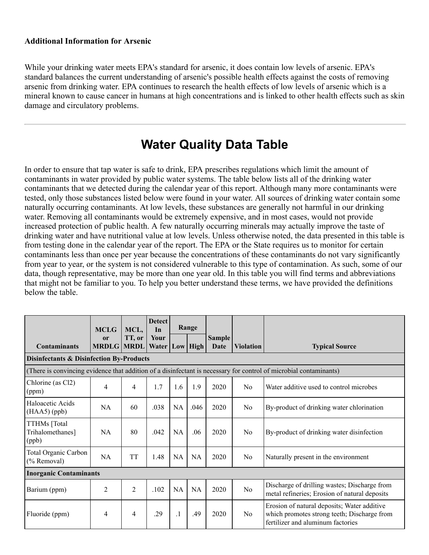#### **Additional Information for Arsenic**

While your drinking water meets EPA's standard for arsenic, it does contain low levels of arsenic. EPA's standard balances the current understanding of arsenic's possible health effects against the costs of removing arsenic from drinking water. EPA continues to research the health effects of low levels of arsenic which is a mineral known to cause cancer in humans at high concentrations and is linked to other health effects such as skin damage and circulatory problems.

### **Water Quality Data Table**

In order to ensure that tap water is safe to drink, EPA prescribes regulations which limit the amount of contaminants in water provided by public water systems. The table below lists all of the drinking water contaminants that we detected during the calendar year of this report. Although many more contaminants were tested, only those substances listed below were found in your water. All sources of drinking water contain some naturally occurring contaminants. At low levels, these substances are generally not harmful in our drinking water. Removing all contaminants would be extremely expensive, and in most cases, would not provide increased protection of public health. A few naturally occurring minerals may actually improve the taste of drinking water and have nutritional value at low levels. Unless otherwise noted, the data presented in this table is from testing done in the calendar year of the report. The EPA or the State requires us to monitor for certain contaminants less than once per year because the concentrations of these contaminants do not vary significantly from year to year, or the system is not considered vulnerable to this type of contamination. As such, some of our data, though representative, may be more than one year old. In this table you will find terms and abbreviations that might not be familiar to you. To help you better understand these terms, we have provided the definitions below the table.

|                                                     | <b>MCLG</b>                        | MCL,           | <b>Detect</b><br>In  |           | Range     |                       |                  |                                                                                                                                 |  |  |
|-----------------------------------------------------|------------------------------------|----------------|----------------------|-----------|-----------|-----------------------|------------------|---------------------------------------------------------------------------------------------------------------------------------|--|--|
| <b>Contaminants</b>                                 | <sub>or</sub><br><b>MRDLG MRDL</b> | TT, or         | Your<br><b>Water</b> |           | Low High  | <b>Sample</b><br>Date | <b>Violation</b> | <b>Typical Source</b>                                                                                                           |  |  |
| <b>Disinfectants &amp; Disinfection By-Products</b> |                                    |                |                      |           |           |                       |                  |                                                                                                                                 |  |  |
|                                                     |                                    |                |                      |           |           |                       |                  | (There is convincing evidence that addition of a disinfectant is necessary for control of microbial contaminants)               |  |  |
| Chlorine (as Cl2)<br>(ppm)                          | 4                                  | 4              | 1.7                  | 1.6       | 1.9       | 2020                  | N <sub>0</sub>   | Water additive used to control microbes                                                                                         |  |  |
| Haloacetic Acids<br>$(HAA5)$ (ppb)                  | <b>NA</b>                          | 60             | .038                 | <b>NA</b> | .046      | 2020                  | N <sub>o</sub>   | By-product of drinking water chlorination                                                                                       |  |  |
| TTHMs [Total<br>Trihalomethanes]<br>(ppb)           | <b>NA</b>                          | 80             | .042                 | <b>NA</b> | .06       | 2020                  | No               | By-product of drinking water disinfection                                                                                       |  |  |
| Total Organic Carbon<br>(% Removal)                 | NA                                 | <b>TT</b>      | 1.48                 | <b>NA</b> | <b>NA</b> | 2020                  | N <sub>0</sub>   | Naturally present in the environment                                                                                            |  |  |
| <b>Inorganic Contaminants</b>                       |                                    |                |                      |           |           |                       |                  |                                                                                                                                 |  |  |
| Barium (ppm)                                        | $\overline{2}$                     | $\overline{2}$ | .102                 | <b>NA</b> | <b>NA</b> | 2020                  | N <sub>o</sub>   | Discharge of drilling wastes; Discharge from<br>metal refineries; Erosion of natural deposits                                   |  |  |
| Fluoride (ppm)                                      | 4                                  | $\overline{4}$ | .29                  | $\cdot$   | .49       | 2020                  | N <sub>0</sub>   | Erosion of natural deposits; Water additive<br>which promotes strong teeth; Discharge from<br>fertilizer and aluminum factories |  |  |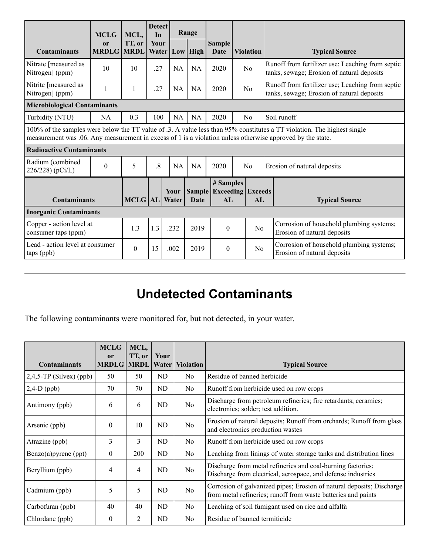|                                                                                                                                                                                                                                       | <b>MCLG</b>                         | MCL,                  | <b>Detect</b><br>In |               | Range       |                                                    |  |                  |                                                                                                |
|---------------------------------------------------------------------------------------------------------------------------------------------------------------------------------------------------------------------------------------|-------------------------------------|-----------------------|---------------------|---------------|-------------|----------------------------------------------------|--|------------------|------------------------------------------------------------------------------------------------|
| <b>Contaminants</b>                                                                                                                                                                                                                   | $\mathbf{or}$<br><b>MRDLG</b>       | TT, or<br><b>MRDL</b> | Your<br>Water       |               | $Low$ High  | <b>Sample</b><br>Date                              |  | <b>Violation</b> | <b>Typical Source</b>                                                                          |
| Nitrate [measured as<br>Nitrogen] (ppm)                                                                                                                                                                                               | 10                                  | 10                    | .27                 | NA            | <b>NA</b>   | 2020                                               |  | No               | Runoff from fertilizer use; Leaching from septic<br>tanks, sewage; Erosion of natural deposits |
| Nitrite [measured as<br>Nitrogen] (ppm)                                                                                                                                                                                               | 1                                   | 1                     | .27                 | <b>NA</b>     | <b>NA</b>   | 2020                                               |  | N <sub>0</sub>   | Runoff from fertilizer use; Leaching from septic<br>tanks, sewage; Erosion of natural deposits |
|                                                                                                                                                                                                                                       | <b>Microbiological Contaminants</b> |                       |                     |               |             |                                                    |  |                  |                                                                                                |
| Turbidity (NTU)                                                                                                                                                                                                                       | <b>NA</b>                           | 0.3                   | 100                 | NA            | <b>NA</b>   | 2020                                               |  | N <sub>0</sub>   | Soil runoff                                                                                    |
| 100% of the samples were below the TT value of .3. A value less than 95% constitutes a TT violation. The highest single<br>measurement was .06. Any measurement in excess of 1 is a violation unless otherwise approved by the state. |                                     |                       |                     |               |             |                                                    |  |                  |                                                                                                |
| <b>Radioactive Contaminants</b>                                                                                                                                                                                                       |                                     |                       |                     |               |             |                                                    |  |                  |                                                                                                |
| Radium (combined<br>$\theta$<br>226/228) (pCi/L)                                                                                                                                                                                      |                                     | 5                     | $\cdot$ 8           |               | <b>NA</b>   | 2020                                               |  | N <sub>0</sub>   | Erosion of natural deposits                                                                    |
| <b>Contaminants</b>                                                                                                                                                                                                                   |                                     | <b>MCLG</b> AL        |                     | Your<br>Water | <b>Date</b> | # Samples<br><b>Sample Exceeding Exceeds</b><br>AL |  | AL               | <b>Typical Source</b>                                                                          |
| <b>Inorganic Contaminants</b>                                                                                                                                                                                                         |                                     |                       |                     |               |             |                                                    |  |                  |                                                                                                |
| Copper - action level at<br>consumer taps (ppm)                                                                                                                                                                                       |                                     | 1.3                   | 1.3                 | .232          | 2019        | $\Omega$                                           |  | No               | Corrosion of household plumbing systems;<br>Erosion of natural deposits                        |
| Lead - action level at consumer<br>taps (ppb)                                                                                                                                                                                         |                                     | $\theta$              | 15                  | .002          | 2019        | $\theta$                                           |  | No               | Corrosion of household plumbing systems;<br>Erosion of natural deposits                        |

## **Undetected Contaminants**

The following contaminants were monitored for, but not detected, in your water.

|                            | <b>MCLG</b><br>$\mathbf{or}$ | MCL,<br>TT, or | Your           |                        |                                                                                                                                        |
|----------------------------|------------------------------|----------------|----------------|------------------------|----------------------------------------------------------------------------------------------------------------------------------------|
| <b>Contaminants</b>        | <b>MRDLG MRDL</b>            |                |                | <b>Water Violation</b> | <b>Typical Source</b>                                                                                                                  |
| $2,4,5$ -TP (Silvex) (ppb) | 50                           | 50             | ND             | N <sub>0</sub>         | Residue of banned herbicide                                                                                                            |
| $2,4-D$ (ppb)              | 70                           | 70             | ND             | N <sub>0</sub>         | Runoff from herbicide used on row crops                                                                                                |
| Antimony (ppb)             | 6                            | 6              | ND             | N <sub>o</sub>         | Discharge from petroleum refineries; fire retardants; ceramics;<br>electronics; solder; test addition.                                 |
| Arsenic (ppb)              | $\theta$                     | 10             | N <sub>D</sub> | N <sub>o</sub>         | Erosion of natural deposits; Runoff from orchards; Runoff from glass<br>and electronics production wastes                              |
| Atrazine (ppb)             | 3                            | 3              | ND             | N <sub>0</sub>         | Runoff from herbicide used on row crops                                                                                                |
| Benzo(a)pyrene (ppt)       | $\mathbf{0}$                 | 200            | ND             | N <sub>0</sub>         | Leaching from linings of water storage tanks and distribution lines                                                                    |
| Beryllium (ppb)            | 4                            | $\overline{4}$ | ND             | N <sub>o</sub>         | Discharge from metal refineries and coal-burning factories;<br>Discharge from electrical, aerospace, and defense industries            |
| Cadmium (ppb)              | 5                            | 5              | ND             | N <sub>o</sub>         | Corrosion of galvanized pipes; Erosion of natural deposits; Discharge<br>from metal refineries; runoff from waste batteries and paints |
| Carbofuran (ppb)           | 40                           | 40             | N <sub>D</sub> | N <sub>0</sub>         | Leaching of soil fumigant used on rice and alfalfa                                                                                     |
| Chlordane (ppb)            | $\theta$                     | 2              | ND             | N <sub>o</sub>         | Residue of banned termiticide                                                                                                          |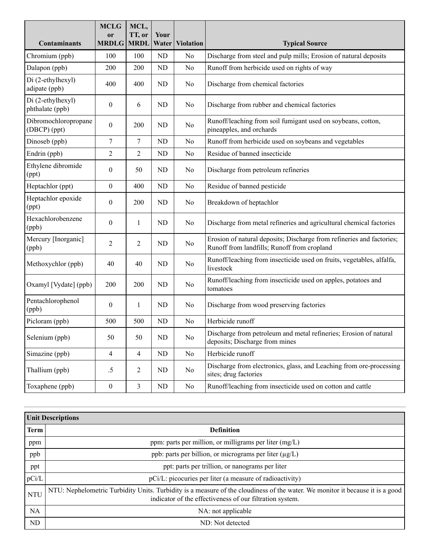|                                      | <b>MCLG</b><br><b>or</b> | MCL,<br>TT, or | Your      |                  |                                                                                                                      |
|--------------------------------------|--------------------------|----------------|-----------|------------------|----------------------------------------------------------------------------------------------------------------------|
| <b>Contaminants</b>                  | <b>MRDLG</b>             | <b>MRDL</b>    | Water     | <b>Violation</b> | <b>Typical Source</b>                                                                                                |
| Chromium (ppb)                       | 100                      | 100            | <b>ND</b> | No               | Discharge from steel and pulp mills; Erosion of natural deposits                                                     |
| Dalapon (ppb)                        | 200                      | 200            | <b>ND</b> | No               | Runoff from herbicide used on rights of way                                                                          |
| Di (2-ethylhexyl)<br>adipate (ppb)   | 400                      | 400            | <b>ND</b> | No               | Discharge from chemical factories                                                                                    |
| Di (2-ethylhexyl)<br>phthalate (ppb) | $\boldsymbol{0}$         | 6              | <b>ND</b> | No               | Discharge from rubber and chemical factories                                                                         |
| Dibromochloropropane<br>(DBCP) (ppt) | $\boldsymbol{0}$         | 200            | <b>ND</b> | No               | Runoff/leaching from soil fumigant used on soybeans, cotton,<br>pineapples, and orchards                             |
| Dinoseb (ppb)                        | 7                        | 7              | <b>ND</b> | No               | Runoff from herbicide used on soybeans and vegetables                                                                |
| Endrin (ppb)                         | $\overline{2}$           | 2              | <b>ND</b> | No               | Residue of banned insecticide                                                                                        |
| Ethylene dibromide<br>(ppt)          | $\boldsymbol{0}$         | 50             | <b>ND</b> | No               | Discharge from petroleum refineries                                                                                  |
| Heptachlor (ppt)                     | $\boldsymbol{0}$         | 400            | <b>ND</b> | No               | Residue of banned pesticide                                                                                          |
| Heptachlor epoxide<br>(ppt)          | $\overline{0}$           | 200            | ND        | No               | Breakdown of heptachlor                                                                                              |
| Hexachlorobenzene<br>(ppb)           | $\boldsymbol{0}$         | 1              | <b>ND</b> | No               | Discharge from metal refineries and agricultural chemical factories                                                  |
| Mercury [Inorganic]<br>(ppb)         | $\overline{2}$           | 2              | <b>ND</b> | No               | Erosion of natural deposits; Discharge from refineries and factories;<br>Runoff from landfills; Runoff from cropland |
| Methoxychlor (ppb)                   | 40                       | 40             | <b>ND</b> | No               | Runoff/leaching from insecticide used on fruits, vegetables, alfalfa,<br>livestock                                   |
| Oxamyl [Vydate] (ppb)                | 200                      | 200            | <b>ND</b> | No               | Runoff/leaching from insecticide used on apples, potatoes and<br>tomatoes                                            |
| Pentachlorophenol<br>(ppb)           | $\boldsymbol{0}$         | 1              | <b>ND</b> | No               | Discharge from wood preserving factories                                                                             |
| Picloram (ppb)                       | 500                      | 500            | <b>ND</b> | No               | Herbicide runoff                                                                                                     |
| Selenium (ppb)                       | 50                       | 50             | ND        | No               | Discharge from petroleum and metal refineries; Erosion of natural<br>deposits; Discharge from mines                  |
| Simazine (ppb)                       | $\overline{4}$           | $\overline{4}$ | ND        | No               | Herbicide runoff                                                                                                     |
| Thallium (ppb)                       | $.5\,$                   | 2              | ND        | No               | Discharge from electronics, glass, and Leaching from ore-processing<br>sites; drug factories                         |
| Toxaphene (ppb)                      | $\boldsymbol{0}$         | $\mathfrak{Z}$ | ND        | No               | Runoff/leaching from insecticide used on cotton and cattle                                                           |

|            | <b>Unit Descriptions</b>                                                                                                                                                                  |
|------------|-------------------------------------------------------------------------------------------------------------------------------------------------------------------------------------------|
| Term       | <b>Definition</b>                                                                                                                                                                         |
| ppm        | ppm: parts per million, or milligrams per liter (mg/L)                                                                                                                                    |
| ppb        | ppb: parts per billion, or micrograms per liter (µg/L)                                                                                                                                    |
| ppt        | ppt: parts per trillion, or nanograms per liter                                                                                                                                           |
| pCi/L      | pCi/L: picocuries per liter (a measure of radioactivity)                                                                                                                                  |
| <b>NTU</b> | NTU: Nephelometric Turbidity Units. Turbidity is a measure of the cloudiness of the water. We monitor it because it is a good<br>indicator of the effectiveness of our filtration system. |
| <b>NA</b>  | NA: not applicable                                                                                                                                                                        |
| ND.        | ND: Not detected                                                                                                                                                                          |